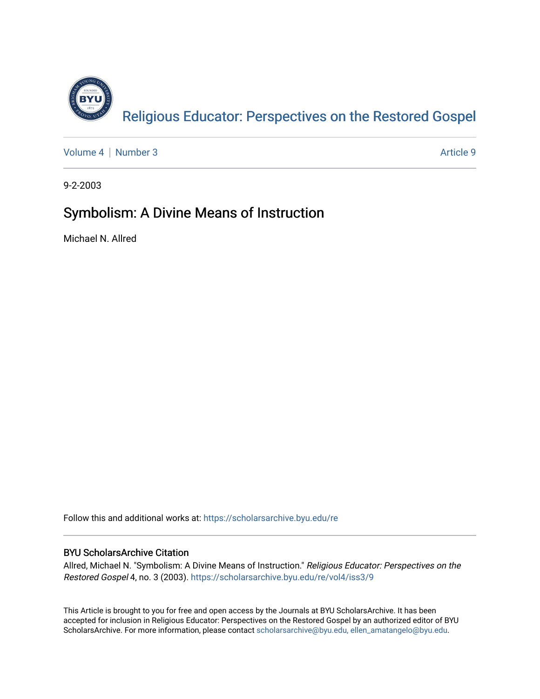

[Volume 4](https://scholarsarchive.byu.edu/re/vol4) | [Number 3](https://scholarsarchive.byu.edu/re/vol4/iss3) Article 9

9-2-2003

## Symbolism: A Divine Means of Instruction

Michael N. Allred

Follow this and additional works at: [https://scholarsarchive.byu.edu/re](https://scholarsarchive.byu.edu/re?utm_source=scholarsarchive.byu.edu%2Fre%2Fvol4%2Fiss3%2F9&utm_medium=PDF&utm_campaign=PDFCoverPages)

### BYU ScholarsArchive Citation

Allred, Michael N. "Symbolism: A Divine Means of Instruction." Religious Educator: Perspectives on the Restored Gospel 4, no. 3 (2003). [https://scholarsarchive.byu.edu/re/vol4/iss3/9](https://scholarsarchive.byu.edu/re/vol4/iss3/9?utm_source=scholarsarchive.byu.edu%2Fre%2Fvol4%2Fiss3%2F9&utm_medium=PDF&utm_campaign=PDFCoverPages) 

This Article is brought to you for free and open access by the Journals at BYU ScholarsArchive. It has been accepted for inclusion in Religious Educator: Perspectives on the Restored Gospel by an authorized editor of BYU ScholarsArchive. For more information, please contact [scholarsarchive@byu.edu, ellen\\_amatangelo@byu.edu.](mailto:scholarsarchive@byu.edu,%20ellen_amatangelo@byu.edu)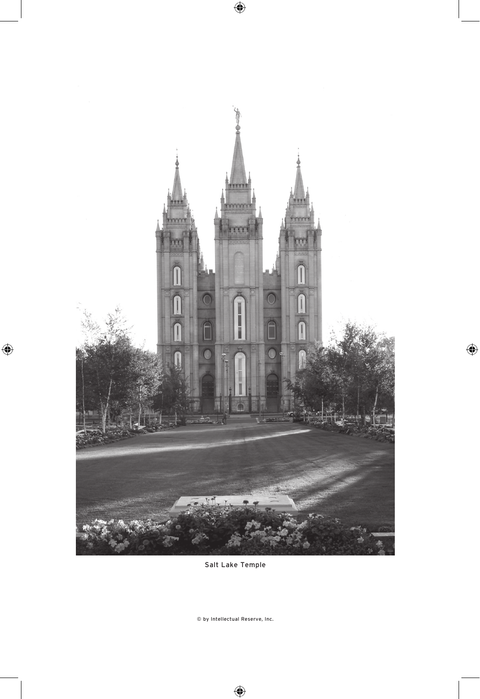

Salt Lake Temple

© by Intellectual Reserve, Inc.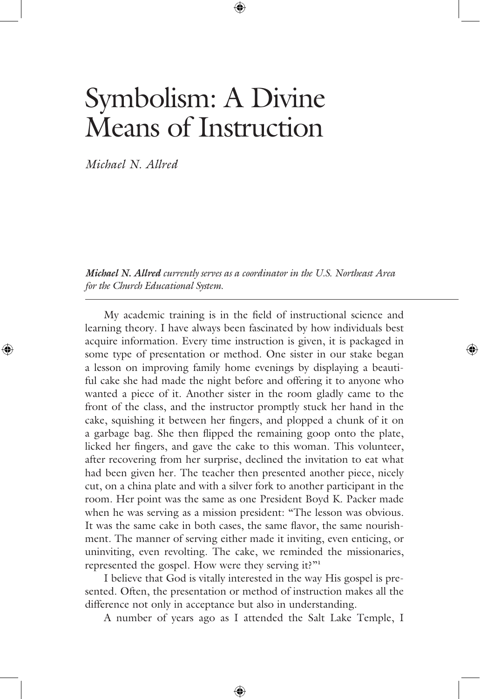# Symbolism: A Divine Means of Instruction

*Michael N. Allred*

*Michael N. Allred currently serves as a coordinator in the U.S. Northeast Area for the Church Educational System.*

 My academic training is in the field of instructional science and learning theory. I have always been fascinated by how individuals best acquire information. Every time instruction is given, it is packaged in some type of presentation or method. One sister in our stake began a lesson on improving family home evenings by displaying a beautiful cake she had made the night before and offering it to anyone who wanted a piece of it. Another sister in the room gladly came to the front of the class, and the instructor promptly stuck her hand in the cake, squishing it between her fingers, and plopped a chunk of it on a garbage bag. She then flipped the remaining goop onto the plate, licked her fingers, and gave the cake to this woman. This volunteer, after recovering from her surprise, declined the invitation to eat what had been given her. The teacher then presented another piece, nicely cut, on a china plate and with a silver fork to another participant in the room. Her point was the same as one President Boyd K. Packer made when he was serving as a mission president: "The lesson was obvious. It was the same cake in both cases, the same flavor, the same nourishment. The manner of serving either made it inviting, even enticing, or uninviting, even revolting. The cake, we reminded the missionaries, represented the gospel. How were they serving it?"**<sup>1</sup>**

 I believe that God is vitally interested in the way His gospel is presented. Often, the presentation or method of instruction makes all the difference not only in acceptance but also in understanding.

A number of years ago as I attended the Salt Lake Temple, I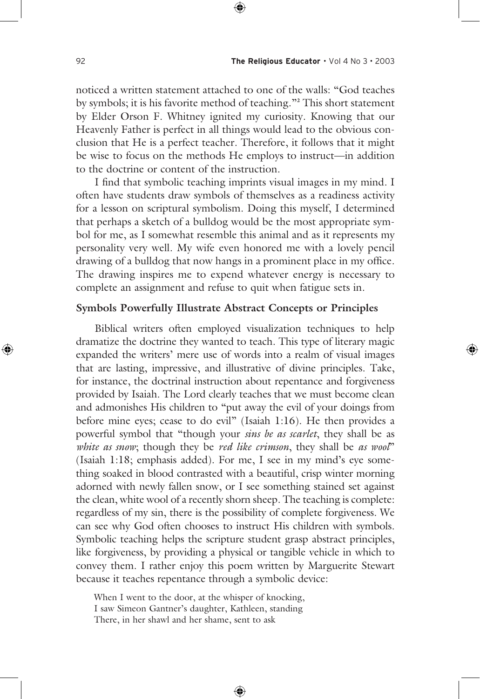noticed a written statement attached to one of the walls: "God teaches by symbols; it is his favorite method of teaching."**<sup>2</sup>** This short statement by Elder Orson F. Whitney ignited my curiosity. Knowing that our Heavenly Father is perfect in all things would lead to the obvious conclusion that He is a perfect teacher. Therefore, it follows that it might be wise to focus on the methods He employs to instruct—in addition to the doctrine or content of the instruction.

 I find that symbolic teaching imprints visual images in my mind. I often have students draw symbols of themselves as a readiness activity for a lesson on scriptural symbolism. Doing this myself, I determined that perhaps a sketch of a bulldog would be the most appropriate symbol for me, as I somewhat resemble this animal and as it represents my personality very well. My wife even honored me with a lovely pencil drawing of a bulldog that now hangs in a prominent place in my office. The drawing inspires me to expend whatever energy is necessary to complete an assignment and refuse to quit when fatigue sets in.

#### **Symbols Powerfully Illustrate Abstract Concepts or Principles**

 Biblical writers often employed visualization techniques to help dramatize the doctrine they wanted to teach. This type of literary magic expanded the writers' mere use of words into a realm of visual images that are lasting, impressive, and illustrative of divine principles. Take, for instance, the doctrinal instruction about repentance and forgiveness provided by Isaiah. The Lord clearly teaches that we must become clean and admonishes His children to "put away the evil of your doings from before mine eyes; cease to do evil" (Isaiah 1:16). He then provides a powerful symbol that "though your *sins be as scarlet*, they shall be as *white as snow*; though they be *red like crimson*, they shall be *as wool*" (Isaiah 1:18; emphasis added). For me, I see in my mind's eye something soaked in blood contrasted with a beautiful, crisp winter morning adorned with newly fallen snow, or I see something stained set against the clean, white wool of a recently shorn sheep. The teaching is complete: regardless of my sin, there is the possibility of complete forgiveness. We can see why God often chooses to instruct His children with symbols. Symbolic teaching helps the scripture student grasp abstract principles, like forgiveness, by providing a physical or tangible vehicle in which to convey them. I rather enjoy this poem written by Marguerite Stewart because it teaches repentance through a symbolic device:

When I went to the door, at the whisper of knocking, I saw Simeon Gantner's daughter, Kathleen, standing There, in her shawl and her shame, sent to ask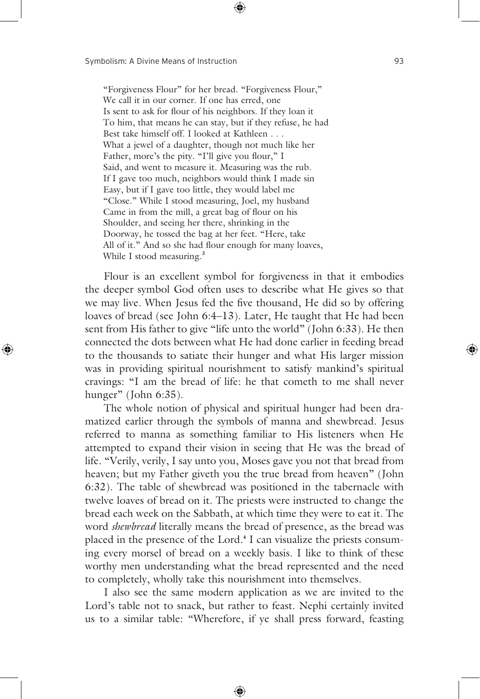"Forgiveness Flour" for her bread. "Forgiveness Flour," We call it in our corner. If one has erred, one Is sent to ask for flour of his neighbors. If they loan it To him, that means he can stay, but if they refuse, he had Best take himself off. I looked at Kathleen . . . What a jewel of a daughter, though not much like her Father, more's the pity. "I'll give you flour," I Said, and went to measure it. Measuring was the rub. If I gave too much, neighbors would think I made sin Easy, but if I gave too little, they would label me "Close." While I stood measuring, Joel, my husband Came in from the mill, a great bag of flour on his Shoulder, and seeing her there, shrinking in the Doorway, he tossed the bag at her feet. "Here, take All of it." And so she had flour enough for many loaves, While I stood measuring.**<sup>3</sup>**

 Flour is an excellent symbol for forgiveness in that it embodies the deeper symbol God often uses to describe what He gives so that we may live. When Jesus fed the five thousand, He did so by offering loaves of bread (see John 6:4–13). Later, He taught that He had been sent from His father to give "life unto the world" (John 6:33). He then connected the dots between what He had done earlier in feeding bread to the thousands to satiate their hunger and what His larger mission was in providing spiritual nourishment to satisfy mankind's spiritual cravings: "I am the bread of life: he that cometh to me shall never hunger" (John 6:35).

 The whole notion of physical and spiritual hunger had been dramatized earlier through the symbols of manna and shewbread. Jesus referred to manna as something familiar to His listeners when He attempted to expand their vision in seeing that He was the bread of life. "Verily, verily, I say unto you, Moses gave you not that bread from heaven; but my Father giveth you the true bread from heaven" (John 6:32). The table of shewbread was positioned in the tabernacle with twelve loaves of bread on it. The priests were instructed to change the bread each week on the Sabbath, at which time they were to eat it. The word *shewbread* literally means the bread of presence, as the bread was placed in the presence of the Lord.**<sup>4</sup>** I can visualize the priests consuming every morsel of bread on a weekly basis. I like to think of these worthy men understanding what the bread represented and the need to completely, wholly take this nourishment into themselves.

 I also see the same modern application as we are invited to the Lord's table not to snack, but rather to feast. Nephi certainly invited us to a similar table: "Wherefore, if ye shall press forward, feasting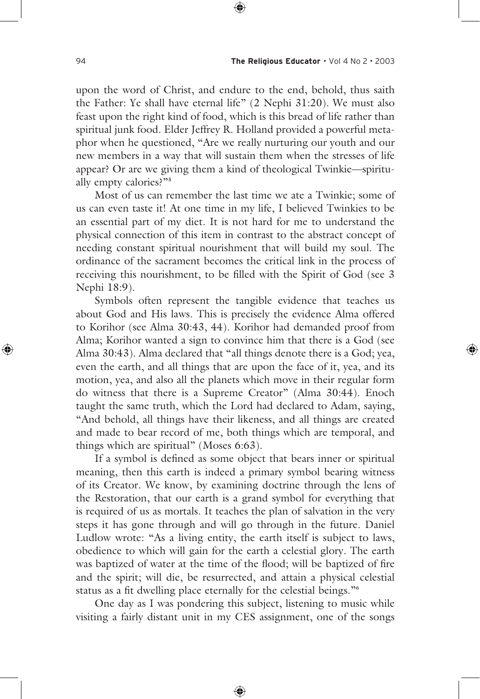upon the word of Christ, and endure to the end, behold, thus saith the Father: Ye shall have eternal life" (2 Nephi 31:20). We must also feast upon the right kind of food, which is this bread of life rather than spiritual junk food. Elder Jeffrey R. Holland provided a powerful metaphor when he questioned, "Are we really nurturing our youth and our new members in a way that will sustain them when the stresses of life appear? Or are we giving them a kind of theological Twinkie—spiritually empty calories?"**<sup>5</sup>**

 Most of us can remember the last time we ate a Twinkie; some of us can even taste it! At one time in my life, I believed Twinkies to be an essential part of my diet. It is not hard for me to understand the physical connection of this item in contrast to the abstract concept of needing constant spiritual nourishment that will build my soul. The ordinance of the sacrament becomes the critical link in the process of receiving this nourishment, to be filled with the Spirit of God (see 3 Nephi 18:9).

 Symbols often represent the tangible evidence that teaches us about God and His laws. This is precisely the evidence Alma offered to Korihor (see Alma 30:43, 44). Korihor had demanded proof from Alma; Korihor wanted a sign to convince him that there is a God (see Alma 30:43). Alma declared that "all things denote there is a God; yea, even the earth, and all things that are upon the face of it, yea, and its motion, yea, and also all the planets which move in their regular form do witness that there is a Supreme Creator" (Alma 30:44). Enoch taught the same truth, which the Lord had declared to Adam, saying, "And behold, all things have their likeness, and all things are created and made to bear record of me, both things which are temporal, and things which are spiritual" (Moses 6:63).

 If a symbol is defined as some object that bears inner or spiritual meaning, then this earth is indeed a primary symbol bearing witness of its Creator. We know, by examining doctrine through the lens of the Restoration, that our earth is a grand symbol for everything that is required of us as mortals. It teaches the plan of salvation in the very steps it has gone through and will go through in the future. Daniel Ludlow wrote: "As a living entity, the earth itself is subject to laws, obedience to which will gain for the earth a celestial glory. The earth was baptized of water at the time of the flood; will be baptized of fire and the spirit; will die, be resurrected, and attain a physical celestial status as a fit dwelling place eternally for the celestial beings."**<sup>6</sup>**

 One day as I was pondering this subject, listening to music while visiting a fairly distant unit in my CES assignment, one of the songs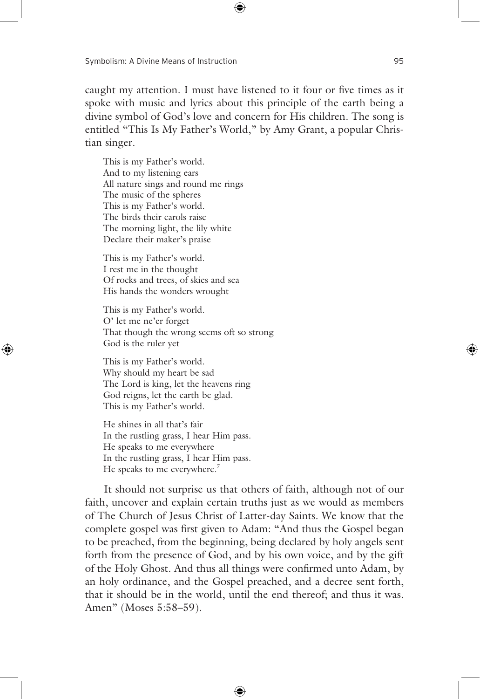caught my attention. I must have listened to it four or five times as it spoke with music and lyrics about this principle of the earth being a divine symbol of God's love and concern for His children. The song is entitled "This Is My Father's World," by Amy Grant, a popular Christian singer.

This is my Father's world. And to my listening ears All nature sings and round me rings The music of the spheres This is my Father's world. The birds their carols raise The morning light, the lily white Declare their maker's praise

This is my Father's world. I rest me in the thought Of rocks and trees, of skies and sea His hands the wonders wrought

This is my Father's world. O' let me ne'er forget That though the wrong seems oft so strong God is the ruler yet

This is my Father's world. Why should my heart be sad The Lord is king, let the heavens ring God reigns, let the earth be glad. This is my Father's world.

He shines in all that's fair In the rustling grass, I hear Him pass. He speaks to me everywhere In the rustling grass, I hear Him pass. He speaks to me everywhere.**<sup>7</sup>**

 It should not surprise us that others of faith, although not of our faith, uncover and explain certain truths just as we would as members of The Church of Jesus Christ of Latter-day Saints. We know that the complete gospel was first given to Adam: "And thus the Gospel began to be preached, from the beginning, being declared by holy angels sent forth from the presence of God, and by his own voice, and by the gift of the Holy Ghost. And thus all things were confirmed unto Adam, by an holy ordinance, and the Gospel preached, and a decree sent forth, that it should be in the world, until the end thereof; and thus it was. Amen" (Moses 5:58–59).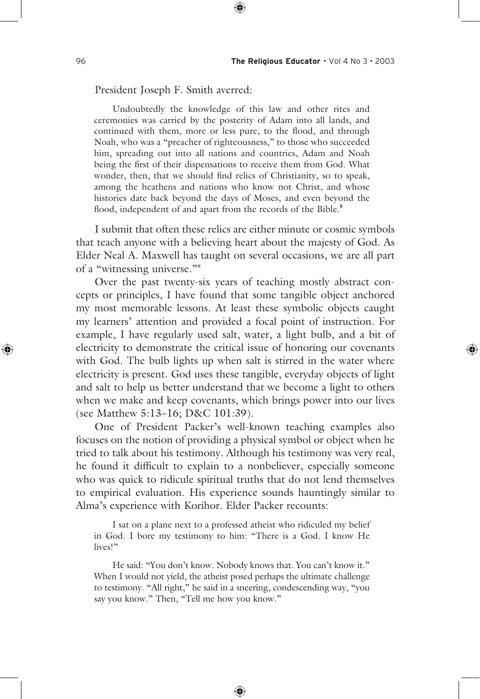President Joseph F. Smith averred:

 Undoubtedly the knowledge of this law and other rites and ceremonies was carried by the posterity of Adam into all lands, and continued with them, more or less pure, to the flood, and through Noah, who was a "preacher of righteousness," to those who succeeded him, spreading out into all nations and countries, Adam and Noah being the first of their dispensations to receive them from God. What wonder, then, that we should find relics of Christianity, so to speak, among the heathens and nations who know not Christ, and whose histories date back beyond the days of Moses, and even beyond the flood, independent of and apart from the records of the Bible.**<sup>8</sup>**

 I submit that often these relics are either minute or cosmic symbols that teach anyone with a believing heart about the majesty of God. As Elder Neal A. Maxwell has taught on several occasions, we are all part of a "witnessing universe."**<sup>9</sup>**

 Over the past twenty-six years of teaching mostly abstract concepts or principles, I have found that some tangible object anchored my most memorable lessons. At least these symbolic objects caught my learners' attention and provided a focal point of instruction. For example, I have regularly used salt, water, a light bulb, and a bit of electricity to demonstrate the critical issue of honoring our covenants with God. The bulb lights up when salt is stirred in the water where electricity is present. God uses these tangible, everyday objects of light and salt to help us better understand that we become a light to others when we make and keep covenants, which brings power into our lives (see Matthew 5:13–16; D&C 101:39).

 One of President Packer's well-known teaching examples also focuses on the notion of providing a physical symbol or object when he tried to talk about his testimony. Although his testimony was very real, he found it difficult to explain to a nonbeliever, especially someone who was quick to ridicule spiritual truths that do not lend themselves to empirical evaluation. His experience sounds hauntingly similar to Alma's experience with Korihor. Elder Packer recounts:

 I sat on a plane next to a professed atheist who ridiculed my belief in God. I bore my testimony to him: "There is a God. I know He lives!"

 He said: "You don't know. Nobody knows that. You can't know it." When I would not yield, the atheist posed perhaps the ultimate challenge to testimony. "All right," he said in a sneering, condescending way, "you say you know." Then, "Tell me how you know."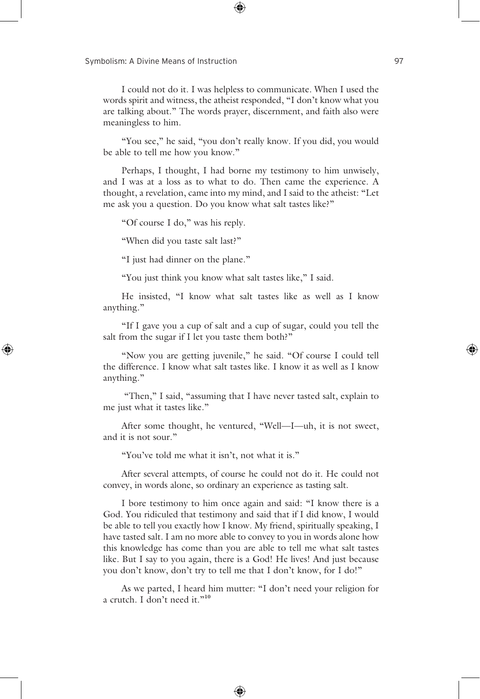I could not do it. I was helpless to communicate. When I used the words spirit and witness, the atheist responded, "I don't know what you are talking about." The words prayer, discernment, and faith also were meaningless to him.

 "You see," he said, "you don't really know. If you did, you would be able to tell me how you know."

 Perhaps, I thought, I had borne my testimony to him unwisely, and I was at a loss as to what to do. Then came the experience. A thought, a revelation, came into my mind, and I said to the atheist: "Let me ask you a question. Do you know what salt tastes like?"

"Of course I do," was his reply.

"When did you taste salt last?"

"I just had dinner on the plane."

"You just think you know what salt tastes like," I said.

 He insisted, "I know what salt tastes like as well as I know anything."

 "If I gave you a cup of salt and a cup of sugar, could you tell the salt from the sugar if I let you taste them both?"

 "Now you are getting juvenile," he said. "Of course I could tell the difference. I know what salt tastes like. I know it as well as I know anything."

 "Then," I said, "assuming that I have never tasted salt, explain to me just what it tastes like."

 After some thought, he ventured, "Well—I—uh, it is not sweet, and it is not sour."

"You've told me what it isn't, not what it is."

 After several attempts, of course he could not do it. He could not convey, in words alone, so ordinary an experience as tasting salt.

 I bore testimony to him once again and said: "I know there is a God. You ridiculed that testimony and said that if I did know, I would be able to tell you exactly how I know. My friend, spiritually speaking, I have tasted salt. I am no more able to convey to you in words alone how this knowledge has come than you are able to tell me what salt tastes like. But I say to you again, there is a God! He lives! And just because you don't know, don't try to tell me that I don't know, for I do!"

 As we parted, I heard him mutter: "I don't need your religion for a crutch. I don't need it."**<sup>10</sup>**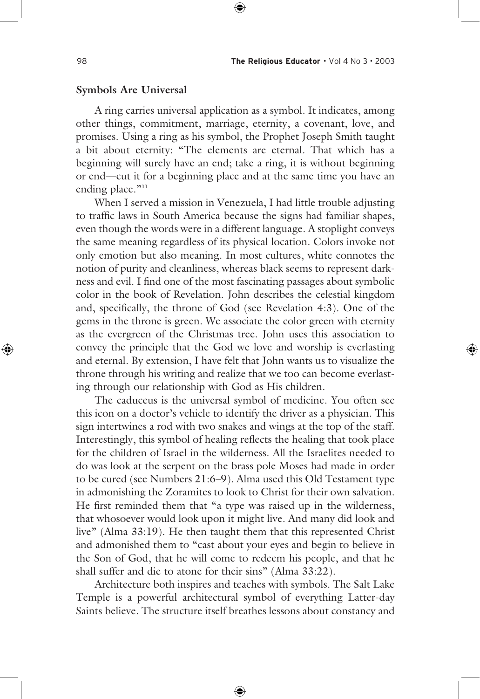#### **Symbols Are Universal**

 A ring carries universal application as a symbol. It indicates, among other things, commitment, marriage, eternity, a covenant, love, and promises. Using a ring as his symbol, the Prophet Joseph Smith taught a bit about eternity: "The elements are eternal. That which has a beginning will surely have an end; take a ring, it is without beginning or end—cut it for a beginning place and at the same time you have an ending place."<sup>11</sup>

 When I served a mission in Venezuela, I had little trouble adjusting to traffic laws in South America because the signs had familiar shapes, even though the words were in a different language. A stoplight conveys the same meaning regardless of its physical location. Colors invoke not only emotion but also meaning. In most cultures, white connotes the notion of purity and cleanliness, whereas black seems to represent darkness and evil. I find one of the most fascinating passages about symbolic color in the book of Revelation. John describes the celestial kingdom and, specifically, the throne of God (see Revelation 4:3). One of the gems in the throne is green. We associate the color green with eternity as the evergreen of the Christmas tree. John uses this association to convey the principle that the God we love and worship is everlasting and eternal. By extension, I have felt that John wants us to visualize the throne through his writing and realize that we too can become everlasting through our relationship with God as His children.

 The caduceus is the universal symbol of medicine. You often see this icon on a doctor's vehicle to identify the driver as a physician. This sign intertwines a rod with two snakes and wings at the top of the staff. Interestingly, this symbol of healing reflects the healing that took place for the children of Israel in the wilderness. All the Israelites needed to do was look at the serpent on the brass pole Moses had made in order to be cured (see Numbers 21:6–9). Alma used this Old Testament type in admonishing the Zoramites to look to Christ for their own salvation. He first reminded them that "a type was raised up in the wilderness, that whosoever would look upon it might live. And many did look and live" (Alma 33:19). He then taught them that this represented Christ and admonished them to "cast about your eyes and begin to believe in the Son of God, that he will come to redeem his people, and that he shall suffer and die to atone for their sins" (Alma 33:22).

 Architecture both inspires and teaches with symbols. The Salt Lake Temple is a powerful architectural symbol of everything Latter-day Saints believe. The structure itself breathes lessons about constancy and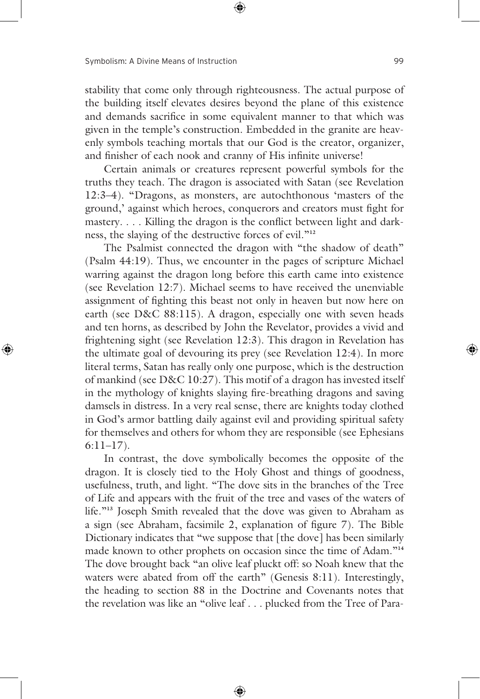stability that come only through righteousness. The actual purpose of the building itself elevates desires beyond the plane of this existence and demands sacrifice in some equivalent manner to that which was given in the temple's construction. Embedded in the granite are heavenly symbols teaching mortals that our God is the creator, organizer, and finisher of each nook and cranny of His infinite universe!

 Certain animals or creatures represent powerful symbols for the truths they teach. The dragon is associated with Satan (see Revelation 12:3–4). "Dragons, as monsters, are autochthonous 'masters of the ground,' against which heroes, conquerors and creators must fight for mastery. . . . Killing the dragon is the conflict between light and darkness, the slaying of the destructive forces of evil."**<sup>12</sup>**

 The Psalmist connected the dragon with "the shadow of death" (Psalm 44:19). Thus, we encounter in the pages of scripture Michael warring against the dragon long before this earth came into existence (see Revelation 12:7). Michael seems to have received the unenviable assignment of fighting this beast not only in heaven but now here on earth (see D&C 88:115). A dragon, especially one with seven heads and ten horns, as described by John the Revelator, provides a vivid and frightening sight (see Revelation 12:3). This dragon in Revelation has the ultimate goal of devouring its prey (see Revelation 12:4). In more literal terms, Satan has really only one purpose, which is the destruction of mankind (see D&C 10:27). This motif of a dragon has invested itself in the mythology of knights slaying fire-breathing dragons and saving damsels in distress. In a very real sense, there are knights today clothed in God's armor battling daily against evil and providing spiritual safety for themselves and others for whom they are responsible (see Ephesians 6:11–17).

 In contrast, the dove symbolically becomes the opposite of the dragon. It is closely tied to the Holy Ghost and things of goodness, usefulness, truth, and light. "The dove sits in the branches of the Tree of Life and appears with the fruit of the tree and vases of the waters of life."**13** Joseph Smith revealed that the dove was given to Abraham as a sign (see Abraham, facsimile 2, explanation of figure 7). The Bible Dictionary indicates that "we suppose that [the dove] has been similarly made known to other prophets on occasion since the time of Adam."**<sup>14</sup>** The dove brought back "an olive leaf pluckt off: so Noah knew that the waters were abated from off the earth" (Genesis 8:11). Interestingly, the heading to section 88 in the Doctrine and Covenants notes that the revelation was like an "olive leaf . . . plucked from the Tree of Para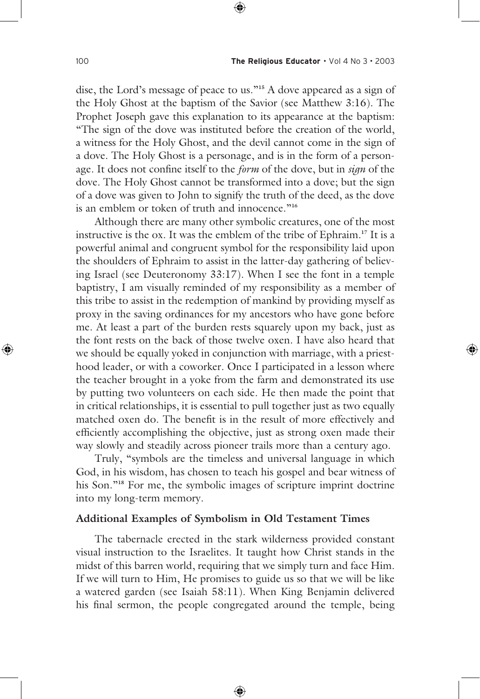dise, the Lord's message of peace to us."**15** A dove appeared as a sign of the Holy Ghost at the baptism of the Savior (see Matthew 3:16). The Prophet Joseph gave this explanation to its appearance at the baptism: "The sign of the dove was instituted before the creation of the world, a witness for the Holy Ghost, and the devil cannot come in the sign of a dove. The Holy Ghost is a personage, and is in the form of a personage. It does not confine itself to the *form* of the dove, but in *sign* of the dove. The Holy Ghost cannot be transformed into a dove; but the sign of a dove was given to John to signify the truth of the deed, as the dove is an emblem or token of truth and innocence."**<sup>16</sup>**

 Although there are many other symbolic creatures, one of the most instructive is the ox. It was the emblem of the tribe of Ephraim.**17** It is a powerful animal and congruent symbol for the responsibility laid upon the shoulders of Ephraim to assist in the latter-day gathering of believing Israel (see Deuteronomy 33:17). When I see the font in a temple baptistry, I am visually reminded of my responsibility as a member of this tribe to assist in the redemption of mankind by providing myself as proxy in the saving ordinances for my ancestors who have gone before me. At least a part of the burden rests squarely upon my back, just as the font rests on the back of those twelve oxen. I have also heard that we should be equally yoked in conjunction with marriage, with a priesthood leader, or with a coworker. Once I participated in a lesson where the teacher brought in a yoke from the farm and demonstrated its use by putting two volunteers on each side. He then made the point that in critical relationships, it is essential to pull together just as two equally matched oxen do. The benefit is in the result of more effectively and efficiently accomplishing the objective, just as strong oxen made their way slowly and steadily across pioneer trails more than a century ago.

 Truly, "symbols are the timeless and universal language in which God, in his wisdom, has chosen to teach his gospel and bear witness of his Son."**18** For me, the symbolic images of scripture imprint doctrine into my long-term memory.

#### **Additional Examples of Symbolism in Old Testament Times**

 The tabernacle erected in the stark wilderness provided constant visual instruction to the Israelites. It taught how Christ stands in the midst of this barren world, requiring that we simply turn and face Him. If we will turn to Him, He promises to guide us so that we will be like a watered garden (see Isaiah 58:11). When King Benjamin delivered his final sermon, the people congregated around the temple, being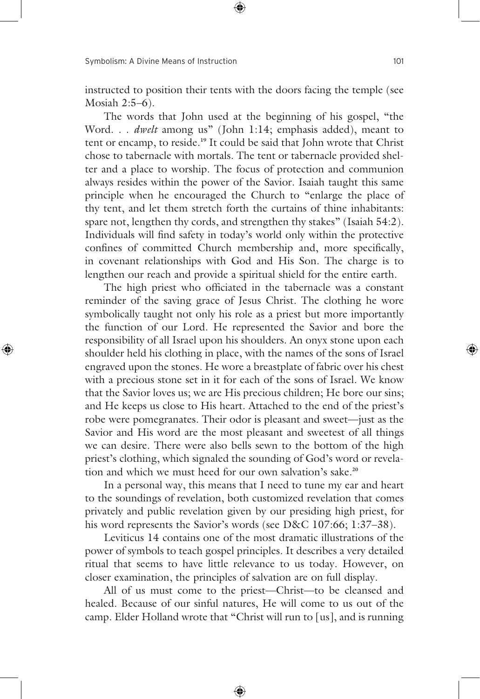instructed to position their tents with the doors facing the temple (see Mosiah 2:5–6).

 The words that John used at the beginning of his gospel, "the Word. . . *dwelt* among us" (John 1:14; emphasis added), meant to tent or encamp, to reside.**19** It could be said that John wrote that Christ chose to tabernacle with mortals. The tent or tabernacle provided shelter and a place to worship. The focus of protection and communion always resides within the power of the Savior. Isaiah taught this same principle when he encouraged the Church to "enlarge the place of thy tent, and let them stretch forth the curtains of thine inhabitants: spare not, lengthen thy cords, and strengthen thy stakes" (Isaiah 54:2). Individuals will find safety in today's world only within the protective confines of committed Church membership and, more specifically, in covenant relationships with God and His Son. The charge is to lengthen our reach and provide a spiritual shield for the entire earth.

 The high priest who officiated in the tabernacle was a constant reminder of the saving grace of Jesus Christ. The clothing he wore symbolically taught not only his role as a priest but more importantly the function of our Lord. He represented the Savior and bore the responsibility of all Israel upon his shoulders. An onyx stone upon each shoulder held his clothing in place, with the names of the sons of Israel engraved upon the stones. He wore a breastplate of fabric over his chest with a precious stone set in it for each of the sons of Israel. We know that the Savior loves us; we are His precious children; He bore our sins; and He keeps us close to His heart. Attached to the end of the priest's robe were pomegranates. Their odor is pleasant and sweet—just as the Savior and His word are the most pleasant and sweetest of all things we can desire. There were also bells sewn to the bottom of the high priest's clothing, which signaled the sounding of God's word or revelation and which we must heed for our own salvation's sake.**<sup>20</sup>**

 In a personal way, this means that I need to tune my ear and heart to the soundings of revelation, both customized revelation that comes privately and public revelation given by our presiding high priest, for his word represents the Savior's words (see D&C 107:66; 1:37–38).

 Leviticus 14 contains one of the most dramatic illustrations of the power of symbols to teach gospel principles. It describes a very detailed ritual that seems to have little relevance to us today. However, on closer examination, the principles of salvation are on full display.

 All of us must come to the priest—Christ—to be cleansed and healed. Because of our sinful natures, He will come to us out of the camp. Elder Holland wrote that "Christ will run to [us], and is running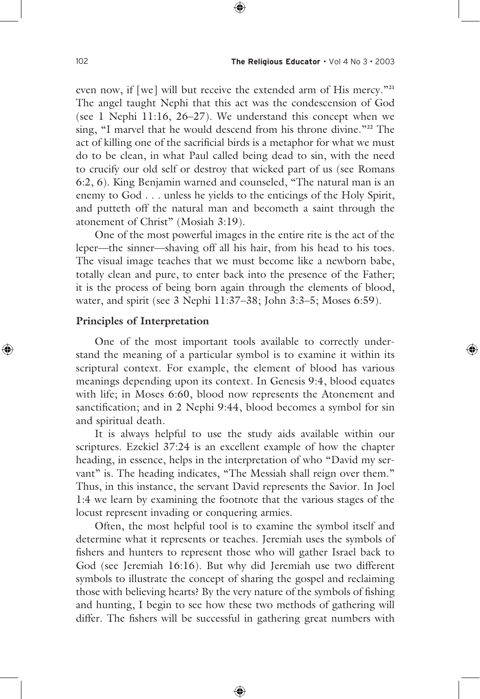even now, if [we] will but receive the extended arm of His mercy."**<sup>21</sup>** The angel taught Nephi that this act was the condescension of God (see 1 Nephi 11:16, 26–27). We understand this concept when we sing, "I marvel that he would descend from his throne divine."**22** The act of killing one of the sacrificial birds is a metaphor for what we must do to be clean, in what Paul called being dead to sin, with the need to crucify our old self or destroy that wicked part of us (see Romans 6:2, 6). King Benjamin warned and counseled, "The natural man is an enemy to God . . . unless he yields to the enticings of the Holy Spirit, and putteth off the natural man and becometh a saint through the atonement of Christ" (Mosiah 3:19).

 One of the most powerful images in the entire rite is the act of the leper—the sinner—shaving off all his hair, from his head to his toes. The visual image teaches that we must become like a newborn babe, totally clean and pure, to enter back into the presence of the Father; it is the process of being born again through the elements of blood, water, and spirit (see 3 Nephi 11:37–38; John 3:3–5; Moses 6:59).

#### **Principles of Interpretation**

 One of the most important tools available to correctly understand the meaning of a particular symbol is to examine it within its scriptural context. For example, the element of blood has various meanings depending upon its context. In Genesis 9:4, blood equates with life; in Moses 6:60, blood now represents the Atonement and sanctification; and in 2 Nephi 9:44, blood becomes a symbol for sin and spiritual death.

 It is always helpful to use the study aids available within our scriptures. Ezekiel 37:24 is an excellent example of how the chapter heading, in essence, helps in the interpretation of who "David my servant" is. The heading indicates, "The Messiah shall reign over them." Thus, in this instance, the servant David represents the Savior. In Joel 1:4 we learn by examining the footnote that the various stages of the locust represent invading or conquering armies.

 Often, the most helpful tool is to examine the symbol itself and determine what it represents or teaches. Jeremiah uses the symbols of fishers and hunters to represent those who will gather Israel back to God (see Jeremiah 16:16). But why did Jeremiah use two different symbols to illustrate the concept of sharing the gospel and reclaiming those with believing hearts? By the very nature of the symbols of fishing and hunting, I begin to see how these two methods of gathering will differ. The fishers will be successful in gathering great numbers with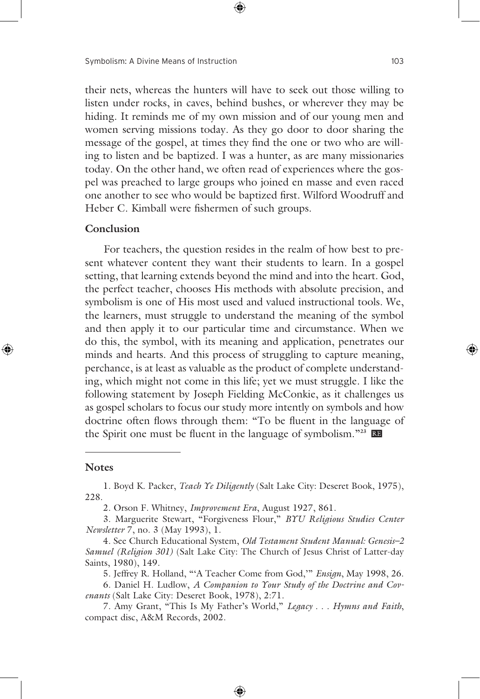their nets, whereas the hunters will have to seek out those willing to listen under rocks, in caves, behind bushes, or wherever they may be hiding. It reminds me of my own mission and of our young men and women serving missions today. As they go door to door sharing the message of the gospel, at times they find the one or two who are willing to listen and be baptized. I was a hunter, as are many missionaries today. On the other hand, we often read of experiences where the gospel was preached to large groups who joined en masse and even raced one another to see who would be baptized first. Wilford Woodruff and Heber C. Kimball were fishermen of such groups.

#### **Conclusion**

 For teachers, the question resides in the realm of how best to present whatever content they want their students to learn. In a gospel setting, that learning extends beyond the mind and into the heart. God, the perfect teacher, chooses His methods with absolute precision, and symbolism is one of His most used and valued instructional tools. We, the learners, must struggle to understand the meaning of the symbol and then apply it to our particular time and circumstance. When we do this, the symbol, with its meaning and application, penetrates our minds and hearts. And this process of struggling to capture meaning, perchance, is at least as valuable as the product of complete understanding, which might not come in this life; yet we must struggle. I like the following statement by Joseph Fielding McConkie, as it challenges us as gospel scholars to focus our study more intently on symbols and how doctrine often flows through them: "To be fluent in the language of the Spirit one must be fluent in the language of symbolism."**<sup>23</sup>**

#### **Notes**

1. Boyd K. Packer, *Teach Ye Diligently* (Salt Lake City: Deseret Book, 1975), 228.

2. Orson F. Whitney, *Improvement Era*, August 1927, 861.

3. Marguerite Stewart, "Forgiveness Flour," *BYU Religious Studies Center Newsletter* 7, no. 3 (May 1993), 1.

4. See Church Educational System, *Old Testament Student Manual: Genesis–2 Samuel (Religion 301)* (Salt Lake City: The Church of Jesus Christ of Latter-day Saints, 1980), 149.

5. Jeffrey R. Holland, "'A Teacher Come from God,'" *Ensign*, May 1998, 26.

6. Daniel H. Ludlow, *A Companion to Your Study of the Doctrine and Covenants* (Salt Lake City: Deseret Book, 1978), 2:71.

7. Amy Grant, "This Is My Father's World," *Legacy . . . Hymns and Faith*, compact disc, A&M Records, 2002.